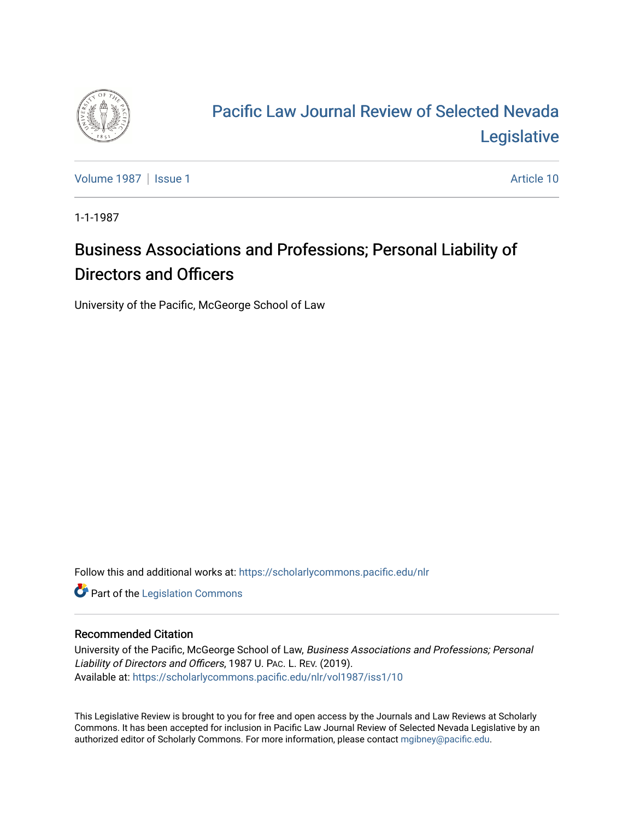

# [Pacific Law Journal Review of Selected Nevada](https://scholarlycommons.pacific.edu/nlr)  [Legislative](https://scholarlycommons.pacific.edu/nlr)

[Volume 1987](https://scholarlycommons.pacific.edu/nlr/vol1987) | [Issue 1](https://scholarlycommons.pacific.edu/nlr/vol1987/iss1) Article 10

1-1-1987

## Business Associations and Professions; Personal Liability of Directors and Officers

University of the Pacific, McGeorge School of Law

Follow this and additional works at: [https://scholarlycommons.pacific.edu/nlr](https://scholarlycommons.pacific.edu/nlr?utm_source=scholarlycommons.pacific.edu%2Fnlr%2Fvol1987%2Fiss1%2F10&utm_medium=PDF&utm_campaign=PDFCoverPages) 

**Part of the [Legislation Commons](http://network.bepress.com/hgg/discipline/859?utm_source=scholarlycommons.pacific.edu%2Fnlr%2Fvol1987%2Fiss1%2F10&utm_medium=PDF&utm_campaign=PDFCoverPages)** 

#### Recommended Citation

University of the Pacific, McGeorge School of Law, Business Associations and Professions; Personal Liability of Directors and Officers, 1987 U. PAC. L. REV. (2019). Available at: [https://scholarlycommons.pacific.edu/nlr/vol1987/iss1/10](https://scholarlycommons.pacific.edu/nlr/vol1987/iss1/10?utm_source=scholarlycommons.pacific.edu%2Fnlr%2Fvol1987%2Fiss1%2F10&utm_medium=PDF&utm_campaign=PDFCoverPages)

This Legislative Review is brought to you for free and open access by the Journals and Law Reviews at Scholarly Commons. It has been accepted for inclusion in Pacific Law Journal Review of Selected Nevada Legislative by an authorized editor of Scholarly Commons. For more information, please contact [mgibney@pacific.edu](mailto:mgibney@pacific.edu).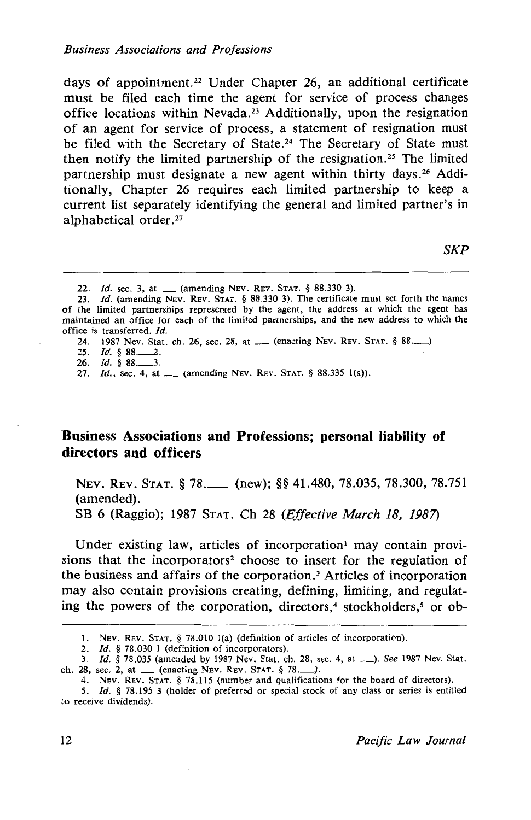days of appointment.22 Under Chapter 26, an additional certificate must be filed each time the agent for service of process changes office locations within Nevada.<sup>23</sup> Additionally, upon the resignation of an agent for service of process, a statement of resignation must be filed with the Secretary of State.<sup>24</sup> The Secretary of State must then notify the limited partnership of the resignation.<sup>25</sup> The limited partnership must designate a new agent within thirty days. 26 Additionally, Chapter 26 requires each limited partnership to keep a current list separately identifying the general and limited partner's in alphabetical order.<sup>27</sup>

*SKP* 

26. *Id.* § 88.

#### **Business Associations and Professions; personal liability of directors and officers**

NEV. REV. STAT. § 78. (new); §§ 41.480, 78.035, 78.300, 78.751 (amended).

SB 6 (Raggio); 1987 STAT. Ch 28 *(Effective March 18, 1987)* 

Under existing law, articles of incorporation  $\mu$  may contain provisions that the incorporators2 choose to insert for the regulation of the business and affairs of the corporation. 3 Articles of incorporation may also contain provisions creating, defining, limiting, and regulating the powers of the corporation, directors,<sup>4</sup> stockholders,<sup>5</sup> or ob-

<sup>22.</sup> *Id.* sec. 3, at \_\_\_ (amending NEV. REV. STAT. § 88.330 3).

<sup>23.</sup> */d.* (amending NEv. REv. STAT. § 88.330 3). The certificate must set forth the names of the limited partnerships represented by the agent, the address at which the agent has maintained an office for each of the limited partnerships, and the new address to which the office is transferred. Id.

<sup>24. 1987</sup> Nev. Stat. ch. 26, sec. 28, at ....... (enacting NEV. REV. STAT. § 88...........)

<sup>25.</sup> *!d.* § 88.\_\_2.

<sup>27.</sup> *Id.*, sec. 4, at \_\_ (amending NEV. REV. STAT. § 88.335 1(a)).

l. NEv. REv. STAT. § 78.010 1(a) (definition of articles of incorporation).

<sup>2.</sup> *Id.* § 78.030 1 (definition of incorporators).

<sup>3.</sup> *Id.* § 78.035 (amended by 1987 Nev. Stat. ch. 28, sec. 4, at\_). *See* 1987 Nev. Stat. ch. 28, sec. 2, at  $\quad$  (enacting Nev. Rev. STAT. § 78. $\qquad$ ).

<sup>4.</sup> NEv. REv. STAT. § 78.115 (number and qualifications for the board of directors).

<sup>5.</sup> *Id.* § 78.195 3 (holder of preferred or special stock of any class or series is entitled to receive dividends).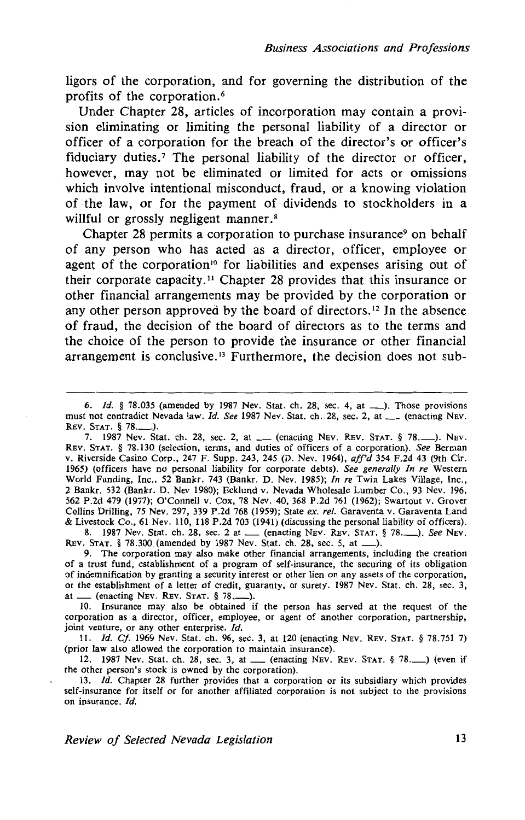ligors of the corporation, and for governing the distribution of the profits of the corporation. <sup>6</sup>

Under Chapter 28, articles of incorporation may contain a provision eliminating or limiting the personal liability of a director or officer of a corporation for the breach of the director's or officer's fiduciary duties.<sup>7</sup> The personal liability of the director or officer, however, may not be eliminated or limited for acts or omissions which involve intentional misconduct, fraud, or a knowing violation of ·the law, or for the payment of dividends to stockholders in a willful or grossly negligent manner.<sup>8</sup>

Chapter 28 permits a corporation to purchase insurance<sup>9</sup> on behalf of any person who has acted as a director, officer, employee or agent of the corporation<sup>10</sup> for liabilities and expenses arising out of their corporate capacity. 11 Chapter 28 provides that this insurance or other financial arrangements may be provided by the corporation or any other person approved by the board of directors.<sup>12</sup> In the absence of fraud, the decision of the board of directors as to the terms and the choice of the person to provide the insurance or other financial arrangement is conclusive. 13 Furthermore, the decision does not sub-

6. *Id.* § 78.035 (amended by 1987 Nev. Stat. ch. 28, sec. 4, at \_\_\_). Those provisions must not contradict Nevada law. *Id. See* 1987 Nev. Stat. ch. 28, sec. 2, at \_\_\_ (enacting NEv. REV. STAT. § 78.

7. 1987 Nev. Stat. ch. 28, sec. 2, at \_\_ (enacting NEv. REV. STAT. § 78.\_\_). NEV. REv. STAT. § 78.130 (selection, terms, and duties of officers of a corporation). *See* Berman v. Riverside Casino Corp., 247 F. Supp. 243, 245 (D. Nev. 1964), *aff'd* 354 F.2d 43 (9th Cir. 1965) (officers have no personal liability for corporate debts). *See generally In re* Western World Funding, Inc., 52 Bankr. 743 (Bankr. D. Nev. 1985); *In re* Twin Lakes Village, Inc., 2 Bankr. 532 (Bankr. D. Nev 1980); Ecklund v. Nevada Wholesale Lumber Co., 93 Nev. 196, 562 P.2d 479 (1977); O'Connell v. Cox, 78 Nev. 40, 368 P.2d 761 (1962); Swartout v. Grover Collins Drilling, 75 Nev. 297, 339 P.2d 768 (1959); State *ex. ref.* Garaventa v. Garaventa Land & Livestock Co., 61 Nev. llO, 118 P.2d 703 (1941) (discussing the personal liability of officers). vestock Co., 61 Nev. 110, 118 P.2d 703 (1941) (discussing the personal hability of officers).<br>8. 1987 Nev. Stat. ch. 28, sec. 2 at \_\_\_ (enacting NEv. REv. STAT. § 78.\_\_\_). *See* NEv.

REV. STAT. § 78.300 (amended by 1987 Nev. Stat. ch. 28, sec. 5, at \_\_\_).<br>
9. The corporation may also make other financial arrangements, including the creation<br>
9. The corporation may also make other financial arrangements

of a trust fund, establishment of a program of self-insurance, the securing of its obligation of indemnification by granting a security interest or other lien on any assets of the corporation, or the establishment of a letter of credit, guaranty, or surety. 1987 Nev. Stat. ch. 28, sec. 3, at  $\_\_$  (enacting Nev. Rev. STAT. § 78. $\_\_$ ).

10. Insurance may also be obtained if the person has served at the request of the corporation as a director, officer, employee, or agent of another corporation, partnership, joint venture, or any other enterprise. *Id.* 

11. *!d. Cf.* 1969 Nev. Stat. ch. 96, sec. 3, at 120 (enacting NEv. REv. STAT. § 78.751 7) (prior law also allowed the corporation to maintain insurance).

12. 1987 Nev. Stat. ch. 28, sec. 3, at \_ (enacting NEv. REv. STAT. § 78.\_) (even if the other person's stock is owned by the corporation).

13. *!d.* Chapter 28 further provides that a corporation or its subsidiary which provides self-insurance for itself or for another affiliated corporation is not subject to the provisions on insurance. *Id.*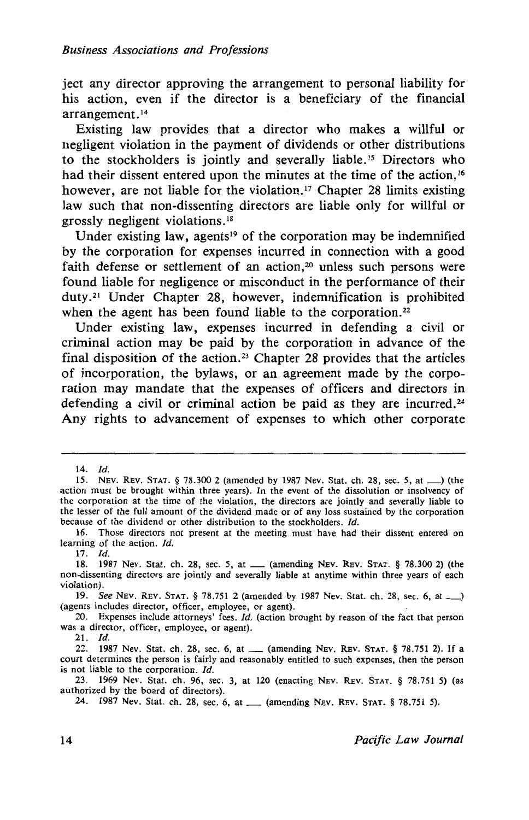ject any director approving the arrangement to personal liability for his action, even if the director is a beneficiary of the financial arrangement. <sup>14</sup>

Existing law provides that a director who makes a willful or negligent violation in the payment of dividends or other distributions to the stockholders is jointly and severally liable. 15 Directors who had their dissent entered upon the minutes at the time of the action,<sup>16</sup> however, are not liable for the violation.<sup>17</sup> Chapter 28 limits existing law such that non-dissenting directors are liable only for willful or grossly negligent violations. <sup>18</sup>

Under existing law, agents<sup>19</sup> of the corporation may be indemnified by the corporation for expenses incurred in connection with a good faith defense or settlement of an action,<sup>20</sup> unless such persons were found liable for negligence or misconduct in the performance of their duty. 21 Under Chapter 28, however, indemnification is prohibited when the agent has been found liable to the corporation.<sup>22</sup>

Under existing law, expenses incurred in defending a civil or criminal action may be paid by the corporation in advance of the final disposition of the action.<sup>23</sup> Chapter 28 provides that the articles of incorporation, the bylaws, or an agreement made by the corporation may mandate that the expenses of officers and directors in defending a civil or criminal action be paid as they are incurred.<sup>24</sup> Any rights to advancement of expenses to which other corporate

17. *ld.* 

 $21.$  *Id.* 

<sup>14.</sup> *Id.* 

<sup>15.</sup> NEV. REV. STAT. § 78.300 2 (amended by 1987 Nev. Stat. ch. 28, sec. 5, at\_) (the action must be brought within three years). In the event of the dissolution or insolvency of the corporation at the time of the violation, the directors are jointly and severally liable to the lesser of the full amount of the dividend made or of any loss sustained by the corporation because of the dividend or other distribution to the stockholders. Id.

<sup>16.</sup> Those directors not present at the meeting must have had their dissent entered on learning of the action. */d.* 

<sup>18. 1987</sup> Nev. Stat. ch. 28, sec. 5, at \_\_ (amending NEV. REV. STAT. § 78.300 2) (the non-dissenting directors are jointly and severally liable at anytime within three years of each violation).

<sup>19.</sup> See NEv. REV. STAT. § 78.751 2 (amended by 1987 Nev. Stat. ch. 28, sec. 6, at\_) (agents includes director, officer, employee, or agent).

<sup>20.</sup> Expenses include attorneys' fees. *Id.* (action brought by reason of the fact that person was a director, officer, employee, or agent).

<sup>22. 1987</sup> Nev. Stat. ch. 28, sec. 6, at ....... (amending Nev. Rev. Stat. § 78.751 2). If a court determines the person is fairly and reasonably entitled to such expenses, then the person is not liable to the corporation. *Id.* 

<sup>23. 1969</sup> Nev. Stat. ch. 96, sec. 3, at 120 (enacting NEv. REv. STAT. § 78.751 5) (as authorized by the board of directors).

<sup>24. 1987</sup> Nev. Stat. ch. 28, sec. 6, at\_ (amending NEv. REv. STAT. § 78.751 5).